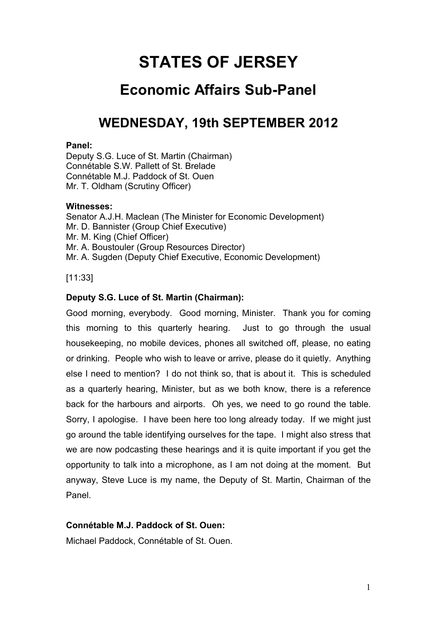# **STATES OF JERSEY**

# **Economic Affairs Sub-Panel**

# **WEDNESDAY, 19th SEPTEMBER 2012**

## **Panel:**

Deputy S.G. Luce of St. Martin (Chairman) Connétable S.W. Pallett of St. Brelade Connétable M.J. Paddock of St. Ouen Mr. T. Oldham (Scrutiny Officer)

## **Witnesses:**

Senator A.J.H. Maclean (The Minister for Economic Development) Mr. D. Bannister (Group Chief Executive) Mr. M. King (Chief Officer) Mr. A. Boustouler (Group Resources Director) Mr. A. Sugden (Deputy Chief Executive, Economic Development)

[11:33]

# **Deputy S.G. Luce of St. Martin (Chairman):**

Good morning, everybody. Good morning, Minister. Thank you for coming this morning to this quarterly hearing. Just to go through the usual housekeeping, no mobile devices, phones all switched off, please, no eating or drinking. People who wish to leave or arrive, please do it quietly. Anything else I need to mention? I do not think so, that is about it. This is scheduled as a quarterly hearing, Minister, but as we both know, there is a reference back for the harbours and airports. Oh yes, we need to go round the table. Sorry, I apologise. I have been here too long already today. If we might just go around the table identifying ourselves for the tape. I might also stress that we are now podcasting these hearings and it is quite important if you get the opportunity to talk into a microphone, as I am not doing at the moment. But anyway, Steve Luce is my name, the Deputy of St. Martin, Chairman of the Panel.

# **Connétable M.J. Paddock of St. Ouen:**

Michael Paddock, Connétable of St. Ouen.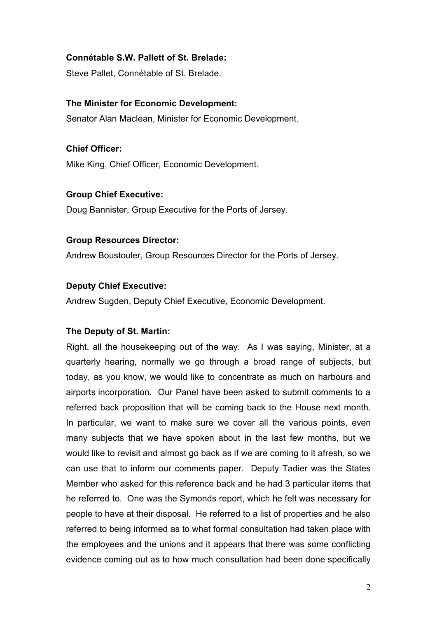## **Connétable S.W. Pallett of St. Brelade:**

Steve Pallet, Connétable of St. Brelade.

#### **The Minister for Economic Development:**

Senator Alan Maclean, Minister for Economic Development.

**Chief Officer:** Mike King, Chief Officer, Economic Development.

## **Group Chief Executive:**

Doug Bannister, Group Executive for the Ports of Jersey.

#### **Group Resources Director:**

Andrew Boustouler, Group Resources Director for the Ports of Jersey.

## **Deputy Chief Executive:**

Andrew Sugden, Deputy Chief Executive, Economic Development.

## **The Deputy of St. Martin:**

Right, all the housekeeping out of the way. As I was saying, Minister, at a quarterly hearing, normally we go through a broad range of subjects, but today, as you know, we would like to concentrate as much on harbours and airports incorporation. Our Panel have been asked to submit comments to a referred back proposition that will be coming back to the House next month. In particular, we want to make sure we cover all the various points, even many subjects that we have spoken about in the last few months, but we would like to revisit and almost go back as if we are coming to it afresh, so we can use that to inform our comments paper. Deputy Tadier was the States Member who asked for this reference back and he had 3 particular items that he referred to. One was the Symonds report, which he felt was necessary for people to have at their disposal. He referred to a list of properties and he also referred to being informed as to what formal consultation had taken place with the employees and the unions and it appears that there was some conflicting evidence coming out as to how much consultation had been done specifically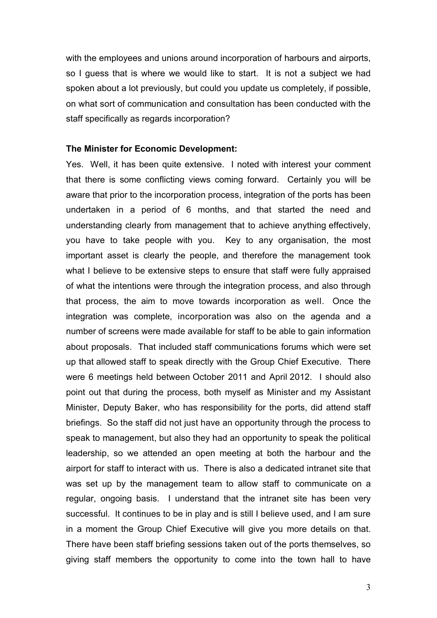with the employees and unions around incorporation of harbours and airports, so I guess that is where we would like to start. It is not a subject we had spoken about a lot previously, but could you update us completely, if possible, on what sort of communication and consultation has been conducted with the staff specifically as regards incorporation?

#### **The Minister for Economic Development:**

Yes. Well, it has been quite extensive. I noted with interest your comment that there is some conflicting views coming forward. Certainly you will be aware that prior to the incorporation process, integration of the ports has been undertaken in a period of 6 months, and that started the need and understanding clearly from management that to achieve anything effectively, you have to take people with you. Key to any organisation, the most important asset is clearly the people, and therefore the management took what I believe to be extensive steps to ensure that staff were fully appraised of what the intentions were through the integration process, and also through that process, the aim to move towards incorporation as well. Once the integration was complete, incorporation was also on the agenda and a number of screens were made available for staff to be able to gain information about proposals. That included staff communications forums which were set up that allowed staff to speak directly with the Group Chief Executive. There were 6 meetings held between October 2011 and April 2012. I should also point out that during the process, both myself as Minister and my Assistant Minister, Deputy Baker, who has responsibility for the ports, did attend staff briefings. So the staff did not just have an opportunity through the process to speak to management, but also they had an opportunity to speak the political leadership, so we attended an open meeting at both the harbour and the airport for staff to interact with us. There is also a dedicated intranet site that was set up by the management team to allow staff to communicate on a regular, ongoing basis. I understand that the intranet site has been very successful. It continues to be in play and is still I believe used, and I am sure in a moment the Group Chief Executive will give you more details on that. There have been staff briefing sessions taken out of the ports themselves, so giving staff members the opportunity to come into the town hall to have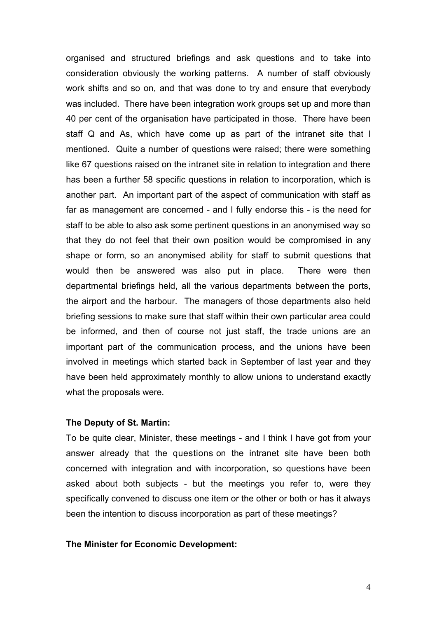organised and structured briefings and ask questions and to take into consideration obviously the working patterns. A number of staff obviously work shifts and so on, and that was done to try and ensure that everybody was included. There have been integration work groups set up and more than 40 per cent of the organisation have participated in those. There have been staff Q and As, which have come up as part of the intranet site that I mentioned. Quite a number of questions were raised; there were something like 67 questions raised on the intranet site in relation to integration and there has been a further 58 specific questions in relation to incorporation, which is another part. An important part of the aspect of communication with staff as far as management are concerned - and I fully endorse this - is the need for staff to be able to also ask some pertinent questions in an anonymised way so that they do not feel that their own position would be compromised in any shape or form, so an anonymised ability for staff to submit questions that would then be answered was also put in place. There were then departmental briefings held, all the various departments between the ports, the airport and the harbour. The managers of those departments also held briefing sessions to make sure that staff within their own particular area could be informed, and then of course not just staff, the trade unions are an important part of the communication process, and the unions have been involved in meetings which started back in September of last year and they have been held approximately monthly to allow unions to understand exactly what the proposals were.

## **The Deputy of St. Martin:**

To be quite clear, Minister, these meetings - and I think I have got from your answer already that the questions on the intranet site have been both concerned with integration and with incorporation, so questions have been asked about both subjects - but the meetings you refer to, were they specifically convened to discuss one item or the other or both or has it always been the intention to discuss incorporation as part of these meetings?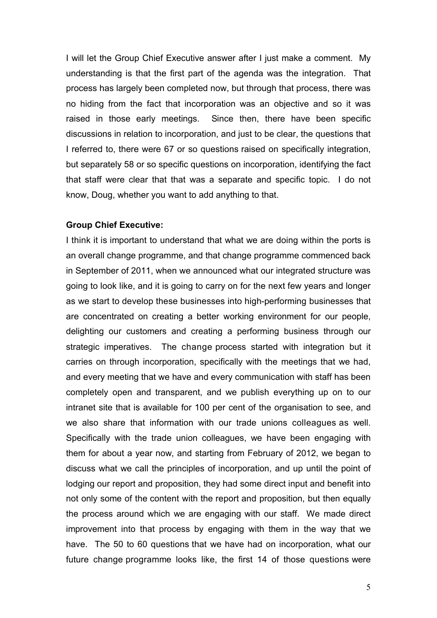I will let the Group Chief Executive answer after I just make a comment. My understanding is that the first part of the agenda was the integration. That process has largely been completed now, but through that process, there was no hiding from the fact that incorporation was an objective and so it was raised in those early meetings. Since then, there have been specific discussions in relation to incorporation, and just to be clear, the questions that I referred to, there were 67 or so questions raised on specifically integration, but separately 58 or so specific questions on incorporation, identifying the fact that staff were clear that that was a separate and specific topic. I do not know, Doug, whether you want to add anything to that.

#### **Group Chief Executive:**

I think it is important to understand that what we are doing within the ports is an overall change programme, and that change programme commenced back in September of 2011, when we announced what our integrated structure was going to look like, and it is going to carry on for the next few years and longer as we start to develop these businesses into high-performing businesses that are concentrated on creating a better working environment for our people, delighting our customers and creating a performing business through our strategic imperatives. The change process started with integration but it carries on through incorporation, specifically with the meetings that we had, and every meeting that we have and every communication with staff has been completely open and transparent, and we publish everything up on to our intranet site that is available for 100 per cent of the organisation to see, and we also share that information with our trade unions colleagues as well. Specifically with the trade union colleagues, we have been engaging with them for about a year now, and starting from February of 2012, we began to discuss what we call the principles of incorporation, and up until the point of lodging our report and proposition, they had some direct input and benefit into not only some of the content with the report and proposition, but then equally the process around which we are engaging with our staff. We made direct improvement into that process by engaging with them in the way that we have. The 50 to 60 questions that we have had on incorporation, what our future change programme looks like, the first 14 of those questions were

5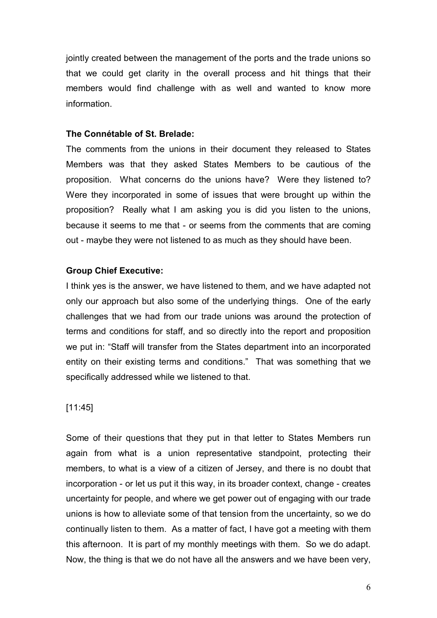jointly created between the management of the ports and the trade unions so that we could get clarity in the overall process and hit things that their members would find challenge with as well and wanted to know more information.

#### **The Connétable of St. Brelade:**

The comments from the unions in their document they released to States Members was that they asked States Members to be cautious of the proposition. What concerns do the unions have? Were they listened to? Were they incorporated in some of issues that were brought up within the proposition? Really what I am asking you is did you listen to the unions, because it seems to me that - or seems from the comments that are coming out - maybe they were not listened to as much as they should have been.

## **Group Chief Executive:**

I think yes is the answer, we have listened to them, and we have adapted not only our approach but also some of the underlying things. One of the early challenges that we had from our trade unions was around the protection of terms and conditions for staff, and so directly into the report and proposition we put in: "Staff will transfer from the States department into an incorporated entity on their existing terms and conditions." That was something that we specifically addressed while we listened to that.

[11:45]

Some of their questions that they put in that letter to States Members run again from what is a union representative standpoint, protecting their members, to what is a view of a citizen of Jersey, and there is no doubt that incorporation - or let us put it this way, in its broader context, change - creates uncertainty for people, and where we get power out of engaging with our trade unions is how to alleviate some of that tension from the uncertainty, so we do continually listen to them. As a matter of fact, I have got a meeting with them this afternoon. It is part of my monthly meetings with them. So we do adapt. Now, the thing is that we do not have all the answers and we have been very,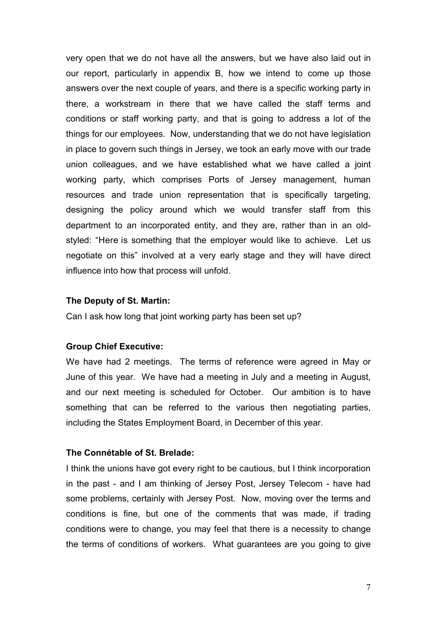very open that we do not have all the answers, but we have also laid out in our report, particularly in appendix B, how we intend to come up those answers over the next couple of years, and there is a specific working party in there, a workstream in there that we have called the staff terms and conditions or staff working party, and that is going to address a lot of the things for our employees. Now, understanding that we do not have legislation in place to govern such things in Jersey, we took an early move with our trade union colleagues, and we have established what we have called a joint working party, which comprises Ports of Jersey management, human resources and trade union representation that is specifically targeting, designing the policy around which we would transfer staff from this department to an incorporated entity, and they are, rather than in an oldstyled: "Here is something that the employer would like to achieve. Let us negotiate on this" involved at a very early stage and they will have direct influence into how that process will unfold.

#### **The Deputy of St. Martin:**

Can I ask how long that joint working party has been set up?

#### **Group Chief Executive:**

We have had 2 meetings. The terms of reference were agreed in May or June of this year. We have had a meeting in July and a meeting in August, and our next meeting is scheduled for October. Our ambition is to have something that can be referred to the various then negotiating parties, including the States Employment Board, in December of this year.

#### **The Connétable of St. Brelade:**

I think the unions have got every right to be cautious, but I think incorporation in the past - and I am thinking of Jersey Post, Jersey Telecom - have had some problems, certainly with Jersey Post. Now, moving over the terms and conditions is fine, but one of the comments that was made, if trading conditions were to change, you may feel that there is a necessity to change the terms of conditions of workers. What guarantees are you going to give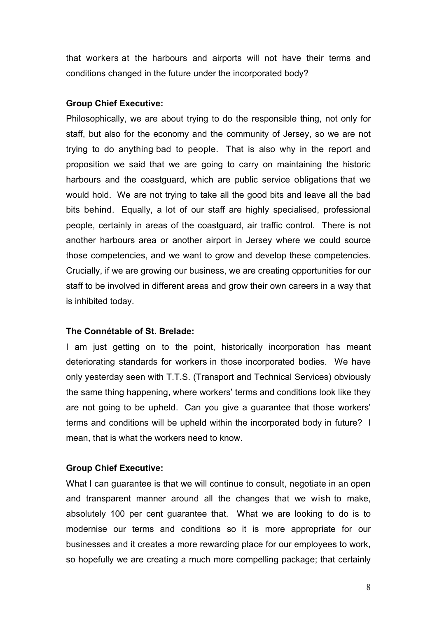that workers at the harbours and airports will not have their terms and conditions changed in the future under the incorporated body?

#### **Group Chief Executive:**

Philosophically, we are about trying to do the responsible thing, not only for staff, but also for the economy and the community of Jersey, so we are not trying to do anything bad to people. That is also why in the report and proposition we said that we are going to carry on maintaining the historic harbours and the coastguard, which are public service obligations that we would hold. We are not trying to take all the good bits and leave all the bad bits behind. Equally, a lot of our staff are highly specialised, professional people, certainly in areas of the coastguard, air traffic control. There is not another harbours area or another airport in Jersey where we could source those competencies, and we want to grow and develop these competencies. Crucially, if we are growing our business, we are creating opportunities for our staff to be involved in different areas and grow their own careers in a way that is inhibited today.

## **The Connétable of St. Brelade:**

I am just getting on to the point, historically incorporation has meant deteriorating standards for workers in those incorporated bodies. We have only yesterday seen with T.T.S. (Transport and Technical Services) obviously the same thing happening, where workers' terms and conditions look like they are not going to be upheld. Can you give a guarantee that those workers' terms and conditions will be upheld within the incorporated body in future? I mean, that is what the workers need to know.

## **Group Chief Executive:**

What I can guarantee is that we will continue to consult, negotiate in an open and transparent manner around all the changes that we wish to make, absolutely 100 per cent guarantee that. What we are looking to do is to modernise our terms and conditions so it is more appropriate for our businesses and it creates a more rewarding place for our employees to work, so hopefully we are creating a much more compelling package; that certainly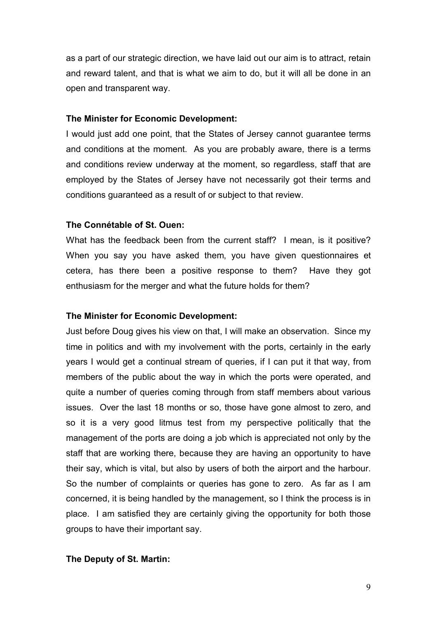as a part of our strategic direction, we have laid out our aim is to attract, retain and reward talent, and that is what we aim to do, but it will all be done in an open and transparent way.

#### **The Minister for Economic Development:**

I would just add one point, that the States of Jersey cannot guarantee terms and conditions at the moment. As you are probably aware, there is a terms and conditions review underway at the moment, so regardless, staff that are employed by the States of Jersey have not necessarily got their terms and conditions guaranteed as a result of or subject to that review.

#### **The Connétable of St. Ouen:**

What has the feedback been from the current staff? I mean, is it positive? When you say you have asked them, you have given questionnaires et cetera, has there been a positive response to them? Have they got enthusiasm for the merger and what the future holds for them?

#### **The Minister for Economic Development:**

Just before Doug gives his view on that, I will make an observation. Since my time in politics and with my involvement with the ports, certainly in the early years I would get a continual stream of queries, if I can put it that way, from members of the public about the way in which the ports were operated, and quite a number of queries coming through from staff members about various issues. Over the last 18 months or so, those have gone almost to zero, and so it is a very good litmus test from my perspective politically that the management of the ports are doing a job which is appreciated not only by the staff that are working there, because they are having an opportunity to have their say, which is vital, but also by users of both the airport and the harbour. So the number of complaints or queries has gone to zero. As far as I am concerned, it is being handled by the management, so I think the process is in place. I am satisfied they are certainly giving the opportunity for both those groups to have their important say.

#### **The Deputy of St. Martin:**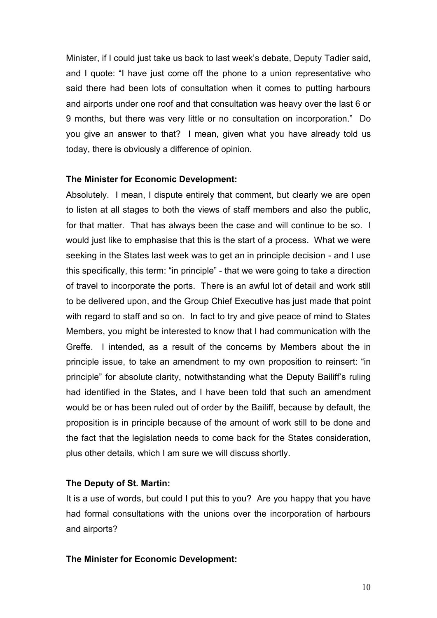Minister, if I could just take us back to last week's debate, Deputy Tadier said, and I quote: "I have just come off the phone to a union representative who said there had been lots of consultation when it comes to putting harbours and airports under one roof and that consultation was heavy over the last 6 or 9 months, but there was very little or no consultation on incorporation." Do you give an answer to that? I mean, given what you have already told us today, there is obviously a difference of opinion.

#### **The Minister for Economic Development:**

Absolutely. I mean, I dispute entirely that comment, but clearly we are open to listen at all stages to both the views of staff members and also the public, for that matter. That has always been the case and will continue to be so. I would just like to emphasise that this is the start of a process. What we were seeking in the States last week was to get an in principle decision - and I use this specifically, this term: "in principle" - that we were going to take a direction of travel to incorporate the ports. There is an awful lot of detail and work still to be delivered upon, and the Group Chief Executive has just made that point with regard to staff and so on. In fact to try and give peace of mind to States Members, you might be interested to know that I had communication with the Greffe. I intended, as a result of the concerns by Members about the in principle issue, to take an amendment to my own proposition to reinsert: "in principle" for absolute clarity, notwithstanding what the Deputy Bailiff's ruling had identified in the States, and I have been told that such an amendment would be or has been ruled out of order by the Bailiff, because by default, the proposition is in principle because of the amount of work still to be done and the fact that the legislation needs to come back for the States consideration, plus other details, which I am sure we will discuss shortly.

## **The Deputy of St. Martin:**

It is a use of words, but could I put this to you? Are you happy that you have had formal consultations with the unions over the incorporation of harbours and airports?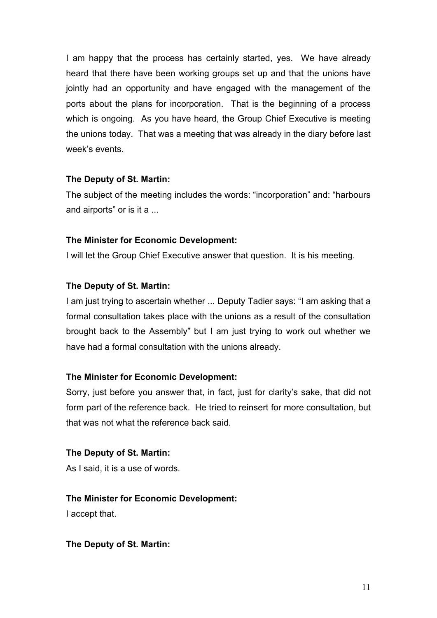I am happy that the process has certainly started, yes. We have already heard that there have been working groups set up and that the unions have jointly had an opportunity and have engaged with the management of the ports about the plans for incorporation. That is the beginning of a process which is ongoing. As you have heard, the Group Chief Executive is meeting the unions today. That was a meeting that was already in the diary before last week's events.

## **The Deputy of St. Martin:**

The subject of the meeting includes the words: "incorporation" and: "harbours and airports" or is it a ...

# **The Minister for Economic Development:**

I will let the Group Chief Executive answer that question. It is his meeting.

# **The Deputy of St. Martin:**

I am just trying to ascertain whether ... Deputy Tadier says: "I am asking that a formal consultation takes place with the unions as a result of the consultation brought back to the Assembly" but I am just trying to work out whether we have had a formal consultation with the unions already.

# **The Minister for Economic Development:**

Sorry, just before you answer that, in fact, just for clarity's sake, that did not form part of the reference back. He tried to reinsert for more consultation, but that was not what the reference back said.

# **The Deputy of St. Martin:**

As I said, it is a use of words.

# **The Minister for Economic Development:**

I accept that.

# **The Deputy of St. Martin:**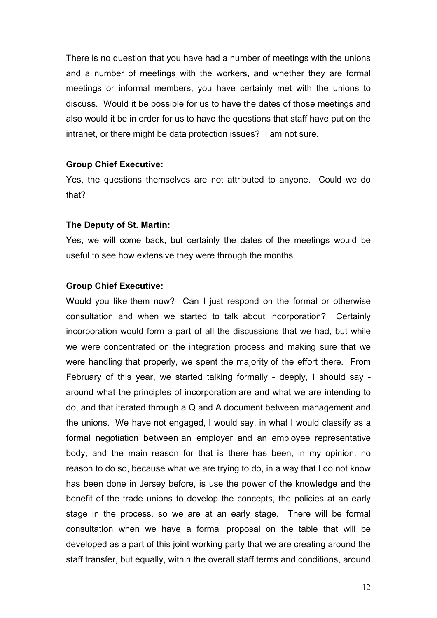There is no question that you have had a number of meetings with the unions and a number of meetings with the workers, and whether they are formal meetings or informal members, you have certainly met with the unions to discuss. Would it be possible for us to have the dates of those meetings and also would it be in order for us to have the questions that staff have put on the intranet, or there might be data protection issues? I am not sure.

#### **Group Chief Executive:**

Yes, the questions themselves are not attributed to anyone. Could we do that?

#### **The Deputy of St. Martin:**

Yes, we will come back, but certainly the dates of the meetings would be useful to see how extensive they were through the months.

#### **Group Chief Executive:**

Would you like them now? Can I just respond on the formal or otherwise consultation and when we started to talk about incorporation? Certainly incorporation would form a part of all the discussions that we had, but while we were concentrated on the integration process and making sure that we were handling that properly, we spent the majority of the effort there. From February of this year, we started talking formally - deeply, I should say around what the principles of incorporation are and what we are intending to do, and that iterated through a Q and A document between management and the unions. We have not engaged, I would say, in what I would classify as a formal negotiation between an employer and an employee representative body, and the main reason for that is there has been, in my opinion, no reason to do so, because what we are trying to do, in a way that I do not know has been done in Jersey before, is use the power of the knowledge and the benefit of the trade unions to develop the concepts, the policies at an early stage in the process, so we are at an early stage. There will be formal consultation when we have a formal proposal on the table that will be developed as a part of this joint working party that we are creating around the staff transfer, but equally, within the overall staff terms and conditions, around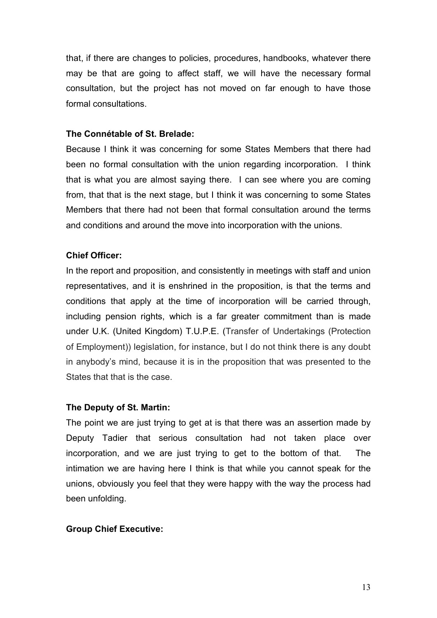that, if there are changes to policies, procedures, handbooks, whatever there may be that are going to affect staff, we will have the necessary formal consultation, but the project has not moved on far enough to have those formal consultations.

#### **The Connétable of St. Brelade:**

Because I think it was concerning for some States Members that there had been no formal consultation with the union regarding incorporation. I think that is what you are almost saying there. I can see where you are coming from, that that is the next stage, but I think it was concerning to some States Members that there had not been that formal consultation around the terms and conditions and around the move into incorporation with the unions.

#### **Chief Officer:**

In the report and proposition, and consistently in meetings with staff and union representatives, and it is enshrined in the proposition, is that the terms and conditions that apply at the time of incorporation will be carried through, including pension rights, which is a far greater commitment than is made under U.K. (United Kingdom) T.U.P.E. (Transfer of Undertakings (Protection of Employment)) legislation, for instance, but I do not think there is any doubt in anybody's mind, because it is in the proposition that was presented to the States that that is the case.

#### **The Deputy of St. Martin:**

The point we are just trying to get at is that there was an assertion made by Deputy Tadier that serious consultation had not taken place over incorporation, and we are just trying to get to the bottom of that. The intimation we are having here I think is that while you cannot speak for the unions, obviously you feel that they were happy with the way the process had been unfolding.

#### **Group Chief Executive:**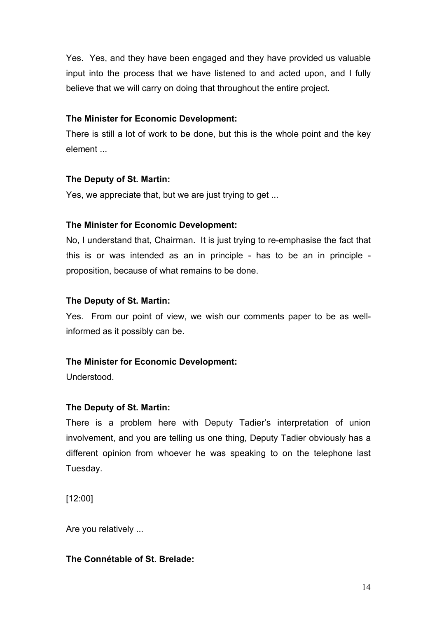Yes. Yes, and they have been engaged and they have provided us valuable input into the process that we have listened to and acted upon, and I fully believe that we will carry on doing that throughout the entire project.

## **The Minister for Economic Development:**

There is still a lot of work to be done, but this is the whole point and the key element ...

## **The Deputy of St. Martin:**

Yes, we appreciate that, but we are just trying to get ...

# **The Minister for Economic Development:**

No, I understand that, Chairman. It is just trying to re-emphasise the fact that this is or was intended as an in principle - has to be an in principle proposition, because of what remains to be done.

# **The Deputy of St. Martin:**

Yes. From our point of view, we wish our comments paper to be as wellinformed as it possibly can be.

# **The Minister for Economic Development:**

Understood.

# **The Deputy of St. Martin:**

There is a problem here with Deputy Tadier's interpretation of union involvement, and you are telling us one thing, Deputy Tadier obviously has a different opinion from whoever he was speaking to on the telephone last Tuesday.

[12:00]

Are you relatively ...

# **The Connétable of St. Brelade:**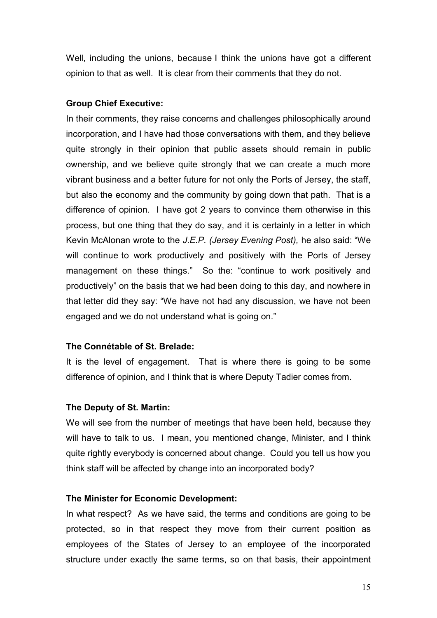Well, including the unions, because I think the unions have got a different opinion to that as well. It is clear from their comments that they do not.

#### **Group Chief Executive:**

In their comments, they raise concerns and challenges philosophically around incorporation, and I have had those conversations with them, and they believe quite strongly in their opinion that public assets should remain in public ownership, and we believe quite strongly that we can create a much more vibrant business and a better future for not only the Ports of Jersey, the staff, but also the economy and the community by going down that path. That is a difference of opinion. I have got 2 years to convince them otherwise in this process, but one thing that they do say, and it is certainly in a letter in which Kevin McAlonan wrote to the *J.E.P. (Jersey Evening Post),* he also said: "We will continue to work productively and positively with the Ports of Jersey management on these things." So the: "continue to work positively and productively" on the basis that we had been doing to this day, and nowhere in that letter did they say: "We have not had any discussion, we have not been engaged and we do not understand what is going on."

#### **The Connétable of St. Brelade:**

It is the level of engagement. That is where there is going to be some difference of opinion, and I think that is where Deputy Tadier comes from.

#### **The Deputy of St. Martin:**

We will see from the number of meetings that have been held, because they will have to talk to us. I mean, you mentioned change, Minister, and I think quite rightly everybody is concerned about change. Could you tell us how you think staff will be affected by change into an incorporated body?

#### **The Minister for Economic Development:**

In what respect? As we have said, the terms and conditions are going to be protected, so in that respect they move from their current position as employees of the States of Jersey to an employee of the incorporated structure under exactly the same terms, so on that basis, their appointment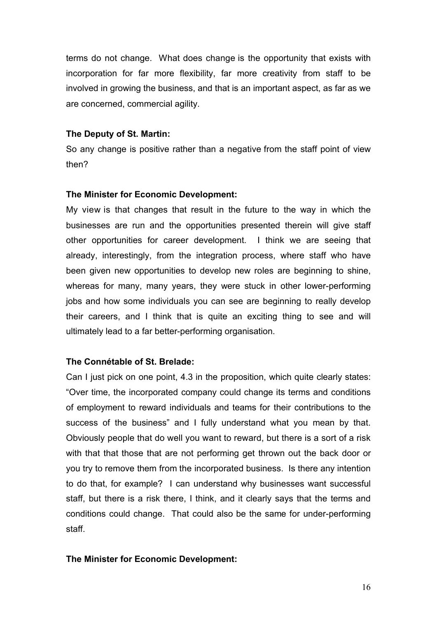terms do not change. What does change is the opportunity that exists with incorporation for far more flexibility, far more creativity from staff to be involved in growing the business, and that is an important aspect, as far as we are concerned, commercial agility.

## **The Deputy of St. Martin:**

So any change is positive rather than a negative from the staff point of view then?

## **The Minister for Economic Development:**

My view is that changes that result in the future to the way in which the businesses are run and the opportunities presented therein will give staff other opportunities for career development. I think we are seeing that already, interestingly, from the integration process, where staff who have been given new opportunities to develop new roles are beginning to shine, whereas for many, many years, they were stuck in other lower-performing jobs and how some individuals you can see are beginning to really develop their careers, and I think that is quite an exciting thing to see and will ultimately lead to a far better-performing organisation.

# **The Connétable of St. Brelade:**

Can I just pick on one point, 4.3 in the proposition, which quite clearly states: "Over time, the incorporated company could change its terms and conditions of employment to reward individuals and teams for their contributions to the success of the business" and I fully understand what you mean by that. Obviously people that do well you want to reward, but there is a sort of a risk with that that those that are not performing get thrown out the back door or you try to remove them from the incorporated business. Is there any intention to do that, for example? I can understand why businesses want successful staff, but there is a risk there, I think, and it clearly says that the terms and conditions could change. That could also be the same for under-performing staff.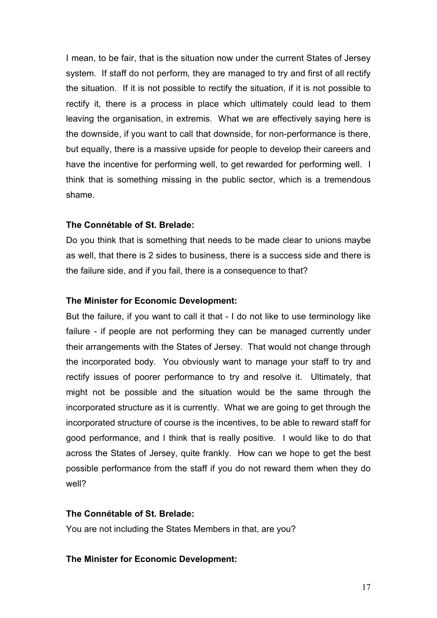I mean, to be fair, that is the situation now under the current States of Jersey system. If staff do not perform, they are managed to try and first of all rectify the situation. If it is not possible to rectify the situation, if it is not possible to rectify it, there is a process in place which ultimately could lead to them leaving the organisation, in extremis. What we are effectively saying here is the downside, if you want to call that downside, for non-performance is there, but equally, there is a massive upside for people to develop their careers and have the incentive for performing well, to get rewarded for performing well. I think that is something missing in the public sector, which is a tremendous shame.

## **The Connétable of St. Brelade:**

Do you think that is something that needs to be made clear to unions maybe as well, that there is 2 sides to business, there is a success side and there is the failure side, and if you fail, there is a consequence to that?

## **The Minister for Economic Development:**

But the failure, if you want to call it that - I do not like to use terminology like failure - if people are not performing they can be managed currently under their arrangements with the States of Jersey. That would not change through the incorporated body. You obviously want to manage your staff to try and rectify issues of poorer performance to try and resolve it. Ultimately, that might not be possible and the situation would be the same through the incorporated structure as it is currently. What we are going to get through the incorporated structure of course is the incentives, to be able to reward staff for good performance, and I think that is really positive. I would like to do that across the States of Jersey, quite frankly. How can we hope to get the best possible performance from the staff if you do not reward them when they do well?

# **The Connétable of St. Brelade:**

You are not including the States Members in that, are you?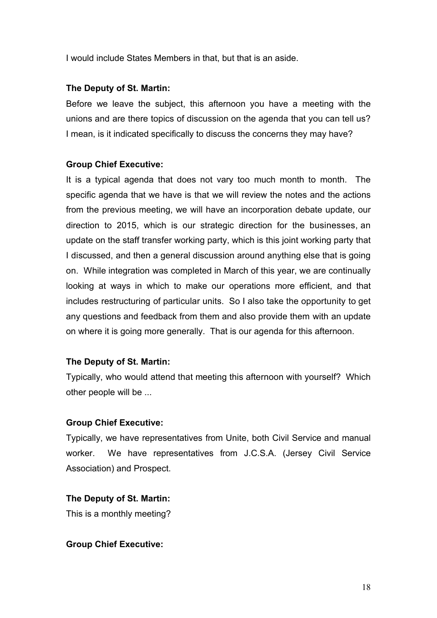I would include States Members in that, but that is an aside.

# **The Deputy of St. Martin:**

Before we leave the subject, this afternoon you have a meeting with the unions and are there topics of discussion on the agenda that you can tell us? I mean, is it indicated specifically to discuss the concerns they may have?

# **Group Chief Executive:**

It is a typical agenda that does not vary too much month to month. The specific agenda that we have is that we will review the notes and the actions from the previous meeting, we will have an incorporation debate update, our direction to 2015, which is our strategic direction for the businesses, an update on the staff transfer working party, which is this joint working party that I discussed, and then a general discussion around anything else that is going on. While integration was completed in March of this year, we are continually looking at ways in which to make our operations more efficient, and that includes restructuring of particular units. So I also take the opportunity to get any questions and feedback from them and also provide them with an update on where it is going more generally. That is our agenda for this afternoon.

# **The Deputy of St. Martin:**

Typically, who would attend that meeting this afternoon with yourself? Which other people will be ...

# **Group Chief Executive:**

Typically, we have representatives from Unite, both Civil Service and manual worker. We have representatives from J.C.S.A. (Jersey Civil Service Association) and Prospect.

# **The Deputy of St. Martin:**

This is a monthly meeting?

## **Group Chief Executive:**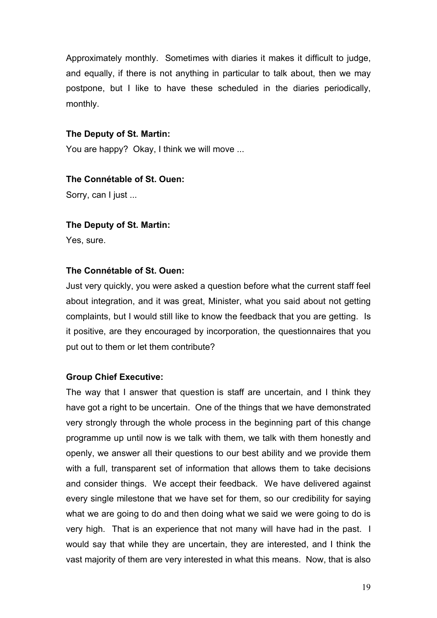Approximately monthly. Sometimes with diaries it makes it difficult to judge, and equally, if there is not anything in particular to talk about, then we may postpone, but I like to have these scheduled in the diaries periodically, monthly.

## **The Deputy of St. Martin:**

You are happy? Okay, I think we will move ...

#### **The Connétable of St. Ouen:**

Sorry, can I just ...

#### **The Deputy of St. Martin:**

Yes, sure.

#### **The Connétable of St. Ouen:**

Just very quickly, you were asked a question before what the current staff feel about integration, and it was great, Minister, what you said about not getting complaints, but I would still like to know the feedback that you are getting. Is it positive, are they encouraged by incorporation, the questionnaires that you put out to them or let them contribute?

## **Group Chief Executive:**

The way that I answer that question is staff are uncertain, and I think they have got a right to be uncertain. One of the things that we have demonstrated very strongly through the whole process in the beginning part of this change programme up until now is we talk with them, we talk with them honestly and openly, we answer all their questions to our best ability and we provide them with a full, transparent set of information that allows them to take decisions and consider things. We accept their feedback. We have delivered against every single milestone that we have set for them, so our credibility for saying what we are going to do and then doing what we said we were going to do is very high. That is an experience that not many will have had in the past. I would say that while they are uncertain, they are interested, and I think the vast majority of them are very interested in what this means. Now, that is also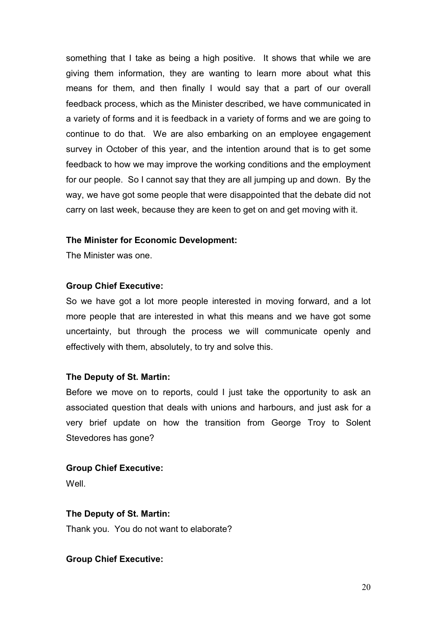something that I take as being a high positive. It shows that while we are giving them information, they are wanting to learn more about what this means for them, and then finally I would say that a part of our overall feedback process, which as the Minister described, we have communicated in a variety of forms and it is feedback in a variety of forms and we are going to continue to do that. We are also embarking on an employee engagement survey in October of this year, and the intention around that is to get some feedback to how we may improve the working conditions and the employment for our people. So I cannot say that they are all jumping up and down. By the way, we have got some people that were disappointed that the debate did not carry on last week, because they are keen to get on and get moving with it.

## **The Minister for Economic Development:**

The Minister was one.

#### **Group Chief Executive:**

So we have got a lot more people interested in moving forward, and a lot more people that are interested in what this means and we have got some uncertainty, but through the process we will communicate openly and effectively with them, absolutely, to try and solve this.

## **The Deputy of St. Martin:**

Before we move on to reports, could I just take the opportunity to ask an associated question that deals with unions and harbours, and just ask for a very brief update on how the transition from George Troy to Solent Stevedores has gone?

## **Group Chief Executive:**

**Well** 

## **The Deputy of St. Martin:**

Thank you. You do not want to elaborate?

## **Group Chief Executive:**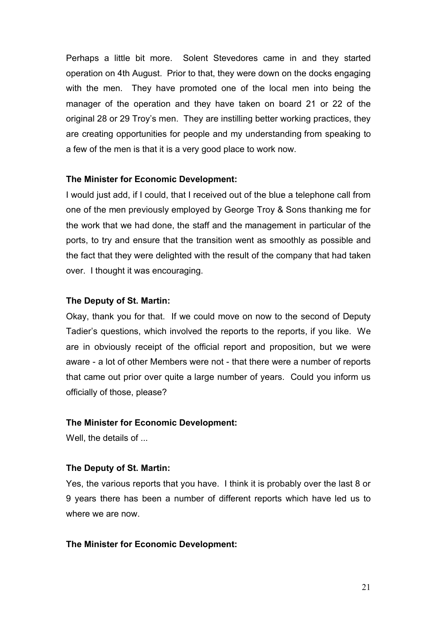Perhaps a little bit more. Solent Stevedores came in and they started operation on 4th August. Prior to that, they were down on the docks engaging with the men. They have promoted one of the local men into being the manager of the operation and they have taken on board 21 or 22 of the original 28 or 29 Troy's men. They are instilling better working practices, they are creating opportunities for people and my understanding from speaking to a few of the men is that it is a very good place to work now.

#### **The Minister for Economic Development:**

I would just add, if I could, that I received out of the blue a telephone call from one of the men previously employed by George Troy & Sons thanking me for the work that we had done, the staff and the management in particular of the ports, to try and ensure that the transition went as smoothly as possible and the fact that they were delighted with the result of the company that had taken over. I thought it was encouraging.

#### **The Deputy of St. Martin:**

Okay, thank you for that. If we could move on now to the second of Deputy Tadier's questions, which involved the reports to the reports, if you like. We are in obviously receipt of the official report and proposition, but we were aware - a lot of other Members were not - that there were a number of reports that came out prior over quite a large number of years. Could you inform us officially of those, please?

## **The Minister for Economic Development:**

Well, the details of ...

## **The Deputy of St. Martin:**

Yes, the various reports that you have. I think it is probably over the last 8 or 9 years there has been a number of different reports which have led us to where we are now.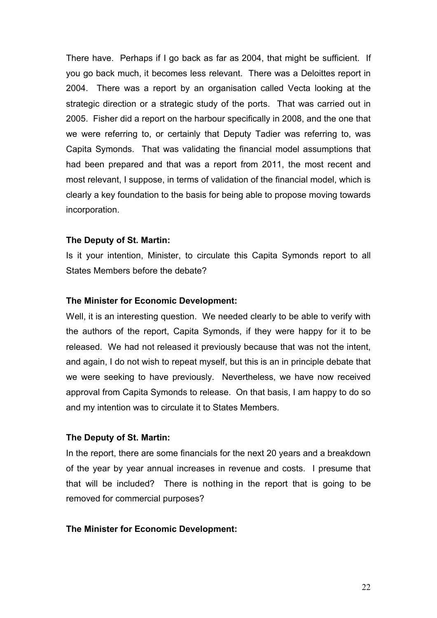There have. Perhaps if I go back as far as 2004, that might be sufficient. If you go back much, it becomes less relevant. There was a Deloittes report in 2004. There was a report by an organisation called Vecta looking at the strategic direction or a strategic study of the ports. That was carried out in 2005. Fisher did a report on the harbour specifically in 2008, and the one that we were referring to, or certainly that Deputy Tadier was referring to, was Capita Symonds. That was validating the financial model assumptions that had been prepared and that was a report from 2011, the most recent and most relevant, I suppose, in terms of validation of the financial model, which is clearly a key foundation to the basis for being able to propose moving towards incorporation.

#### **The Deputy of St. Martin:**

Is it your intention, Minister, to circulate this Capita Symonds report to all States Members before the debate?

#### **The Minister for Economic Development:**

Well, it is an interesting question. We needed clearly to be able to verify with the authors of the report, Capita Symonds, if they were happy for it to be released. We had not released it previously because that was not the intent, and again, I do not wish to repeat myself, but this is an in principle debate that we were seeking to have previously. Nevertheless, we have now received approval from Capita Symonds to release. On that basis, I am happy to do so and my intention was to circulate it to States Members.

#### **The Deputy of St. Martin:**

In the report, there are some financials for the next 20 years and a breakdown of the year by year annual increases in revenue and costs. I presume that that will be included? There is nothing in the report that is going to be removed for commercial purposes?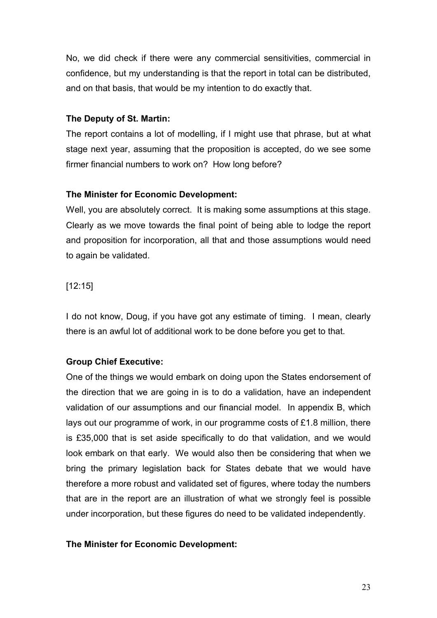No, we did check if there were any commercial sensitivities, commercial in confidence, but my understanding is that the report in total can be distributed, and on that basis, that would be my intention to do exactly that.

# **The Deputy of St. Martin:**

The report contains a lot of modelling, if I might use that phrase, but at what stage next year, assuming that the proposition is accepted, do we see some firmer financial numbers to work on? How long before?

# **The Minister for Economic Development:**

Well, you are absolutely correct. It is making some assumptions at this stage. Clearly as we move towards the final point of being able to lodge the report and proposition for incorporation, all that and those assumptions would need to again be validated.

# [12:15]

I do not know, Doug, if you have got any estimate of timing. I mean, clearly there is an awful lot of additional work to be done before you get to that.

# **Group Chief Executive:**

One of the things we would embark on doing upon the States endorsement of the direction that we are going in is to do a validation, have an independent validation of our assumptions and our financial model. In appendix B, which lays out our programme of work, in our programme costs of £1.8 million, there is £35,000 that is set aside specifically to do that validation, and we would look embark on that early. We would also then be considering that when we bring the primary legislation back for States debate that we would have therefore a more robust and validated set of figures, where today the numbers that are in the report are an illustration of what we strongly feel is possible under incorporation, but these figures do need to be validated independently.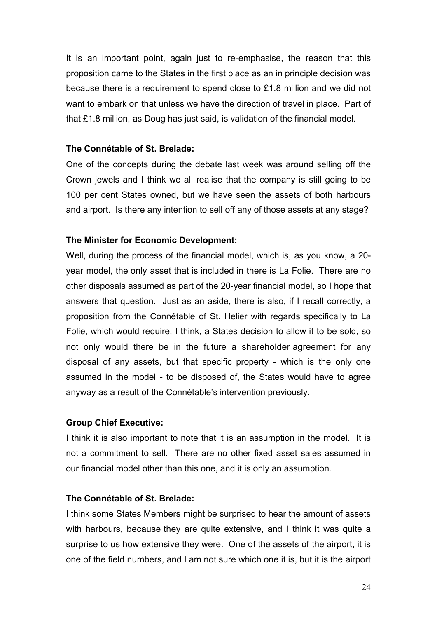It is an important point, again just to re-emphasise, the reason that this proposition came to the States in the first place as an in principle decision was because there is a requirement to spend close to £1.8 million and we did not want to embark on that unless we have the direction of travel in place. Part of that £1.8 million, as Doug has just said, is validation of the financial model.

## **The Connétable of St. Brelade:**

One of the concepts during the debate last week was around selling off the Crown jewels and I think we all realise that the company is still going to be 100 per cent States owned, but we have seen the assets of both harbours and airport. Is there any intention to sell off any of those assets at any stage?

## **The Minister for Economic Development:**

Well, during the process of the financial model, which is, as you know, a 20 year model, the only asset that is included in there is La Folie. There are no other disposals assumed as part of the 20-year financial model, so I hope that answers that question. Just as an aside, there is also, if I recall correctly, a proposition from the Connétable of St. Helier with regards specifically to La Folie, which would require, I think, a States decision to allow it to be sold, so not only would there be in the future a shareholder agreement for any disposal of any assets, but that specific property - which is the only one assumed in the model - to be disposed of, the States would have to agree anyway as a result of the Connétable's intervention previously.

## **Group Chief Executive:**

I think it is also important to note that it is an assumption in the model. It is not a commitment to sell. There are no other fixed asset sales assumed in our financial model other than this one, and it is only an assumption.

## **The Connétable of St. Brelade:**

I think some States Members might be surprised to hear the amount of assets with harbours, because they are quite extensive, and I think it was quite a surprise to us how extensive they were. One of the assets of the airport, it is one of the field numbers, and I am not sure which one it is, but it is the airport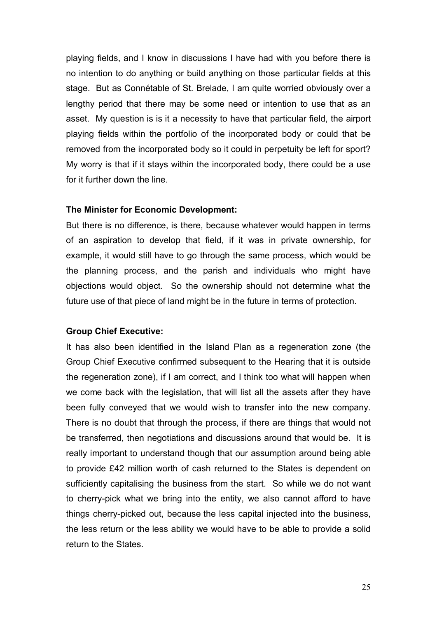playing fields, and I know in discussions I have had with you before there is no intention to do anything or build anything on those particular fields at this stage. But as Connétable of St. Brelade, I am quite worried obviously over a lengthy period that there may be some need or intention to use that as an asset. My question is is it a necessity to have that particular field, the airport playing fields within the portfolio of the incorporated body or could that be removed from the incorporated body so it could in perpetuity be left for sport? My worry is that if it stays within the incorporated body, there could be a use for it further down the line.

#### **The Minister for Economic Development:**

But there is no difference, is there, because whatever would happen in terms of an aspiration to develop that field, if it was in private ownership, for example, it would still have to go through the same process, which would be the planning process, and the parish and individuals who might have objections would object. So the ownership should not determine what the future use of that piece of land might be in the future in terms of protection.

#### **Group Chief Executive:**

It has also been identified in the Island Plan as a regeneration zone (the Group Chief Executive confirmed subsequent to the Hearing that it is outside the regeneration zone), if I am correct, and I think too what will happen when we come back with the legislation, that will list all the assets after they have been fully conveyed that we would wish to transfer into the new company. There is no doubt that through the process, if there are things that would not be transferred, then negotiations and discussions around that would be. It is really important to understand though that our assumption around being able to provide £42 million worth of cash returned to the States is dependent on sufficiently capitalising the business from the start. So while we do not want to cherry-pick what we bring into the entity, we also cannot afford to have things cherry-picked out, because the less capital injected into the business, the less return or the less ability we would have to be able to provide a solid return to the States.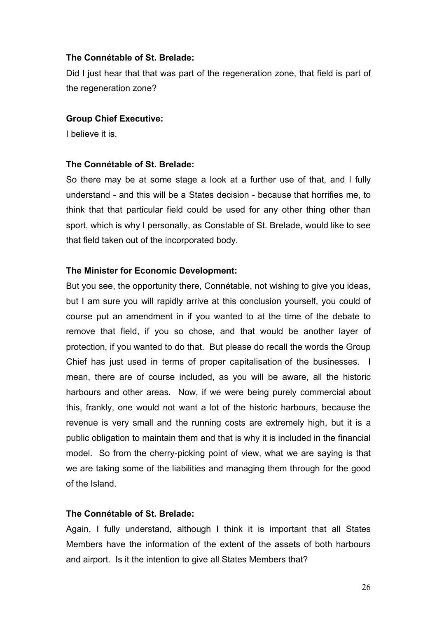## **The Connétable of St. Brelade:**

Did I just hear that that was part of the regeneration zone, that field is part of the regeneration zone?

## **Group Chief Executive:**

I believe it is.

## **The Connétable of St. Brelade:**

So there may be at some stage a look at a further use of that, and I fully understand - and this will be a States decision - because that horrifies me, to think that that particular field could be used for any other thing other than sport, which is why I personally, as Constable of St. Brelade, would like to see that field taken out of the incorporated body.

## **The Minister for Economic Development:**

But you see, the opportunity there, Connétable, not wishing to give you ideas, but I am sure you will rapidly arrive at this conclusion yourself, you could of course put an amendment in if you wanted to at the time of the debate to remove that field, if you so chose, and that would be another layer of protection, if you wanted to do that. But please do recall the words the Group Chief has just used in terms of proper capitalisation of the businesses. I mean, there are of course included, as you will be aware, all the historic harbours and other areas. Now, if we were being purely commercial about this, frankly, one would not want a lot of the historic harbours, because the revenue is very small and the running costs are extremely high, but it is a public obligation to maintain them and that is why it is included in the financial model. So from the cherry-picking point of view, what we are saying is that we are taking some of the liabilities and managing them through for the good of the Island.

# **The Connétable of St. Brelade:**

Again, I fully understand, although I think it is important that all States Members have the information of the extent of the assets of both harbours and airport. Is it the intention to give all States Members that?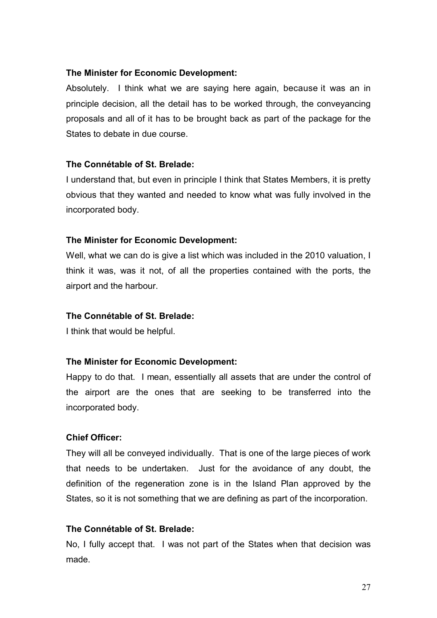## **The Minister for Economic Development:**

Absolutely. I think what we are saying here again, because it was an in principle decision, all the detail has to be worked through, the conveyancing proposals and all of it has to be brought back as part of the package for the States to debate in due course.

# **The Connétable of St. Brelade:**

I understand that, but even in principle I think that States Members, it is pretty obvious that they wanted and needed to know what was fully involved in the incorporated body.

## **The Minister for Economic Development:**

Well, what we can do is give a list which was included in the 2010 valuation, I think it was, was it not, of all the properties contained with the ports, the airport and the harbour.

# **The Connétable of St. Brelade:**

I think that would be helpful.

## **The Minister for Economic Development:**

Happy to do that. I mean, essentially all assets that are under the control of the airport are the ones that are seeking to be transferred into the incorporated body.

# **Chief Officer:**

They will all be conveyed individually. That is one of the large pieces of work that needs to be undertaken. Just for the avoidance of any doubt, the definition of the regeneration zone is in the Island Plan approved by the States, so it is not something that we are defining as part of the incorporation.

# **The Connétable of St. Brelade:**

No, I fully accept that. I was not part of the States when that decision was made.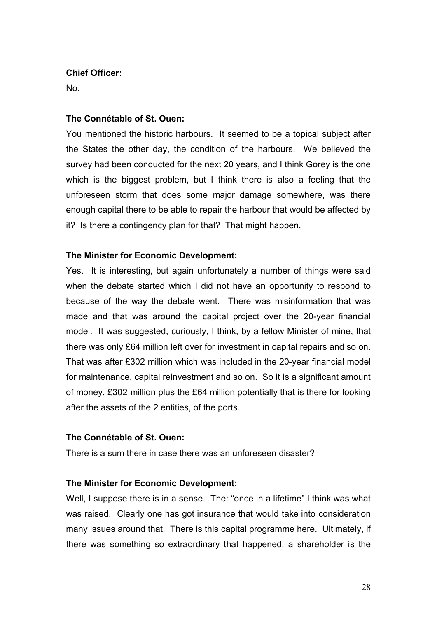## **Chief Officer:**

No.

## **The Connétable of St. Ouen:**

You mentioned the historic harbours. It seemed to be a topical subject after the States the other day, the condition of the harbours. We believed the survey had been conducted for the next 20 years, and I think Gorey is the one which is the biggest problem, but I think there is also a feeling that the unforeseen storm that does some major damage somewhere, was there enough capital there to be able to repair the harbour that would be affected by it? Is there a contingency plan for that? That might happen.

## **The Minister for Economic Development:**

Yes. It is interesting, but again unfortunately a number of things were said when the debate started which I did not have an opportunity to respond to because of the way the debate went. There was misinformation that was made and that was around the capital project over the 20-year financial model. It was suggested, curiously, I think, by a fellow Minister of mine, that there was only £64 million left over for investment in capital repairs and so on. That was after £302 million which was included in the 20-year financial model for maintenance, capital reinvestment and so on. So it is a significant amount of money, £302 million plus the £64 million potentially that is there for looking after the assets of the 2 entities, of the ports.

# **The Connétable of St. Ouen:**

There is a sum there in case there was an unforeseen disaster?

# **The Minister for Economic Development:**

Well, I suppose there is in a sense. The: "once in a lifetime" I think was what was raised. Clearly one has got insurance that would take into consideration many issues around that. There is this capital programme here. Ultimately, if there was something so extraordinary that happened, a shareholder is the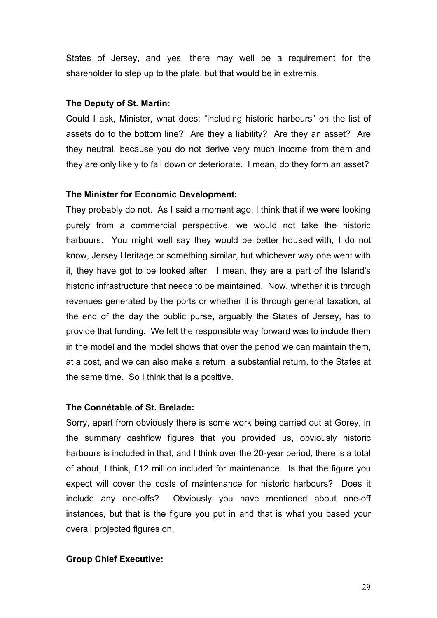States of Jersey, and yes, there may well be a requirement for the shareholder to step up to the plate, but that would be in extremis.

#### **The Deputy of St. Martin:**

Could I ask, Minister, what does: "including historic harbours" on the list of assets do to the bottom line? Are they a liability? Are they an asset? Are they neutral, because you do not derive very much income from them and they are only likely to fall down or deteriorate. I mean, do they form an asset?

#### **The Minister for Economic Development:**

They probably do not. As I said a moment ago, I think that if we were looking purely from a commercial perspective, we would not take the historic harbours. You might well say they would be better housed with, I do not know, Jersey Heritage or something similar, but whichever way one went with it, they have got to be looked after. I mean, they are a part of the Island's historic infrastructure that needs to be maintained. Now, whether it is through revenues generated by the ports or whether it is through general taxation, at the end of the day the public purse, arguably the States of Jersey, has to provide that funding. We felt the responsible way forward was to include them in the model and the model shows that over the period we can maintain them, at a cost, and we can also make a return, a substantial return, to the States at the same time. So I think that is a positive.

#### **The Connétable of St. Brelade:**

Sorry, apart from obviously there is some work being carried out at Gorey, in the summary cashflow figures that you provided us, obviously historic harbours is included in that, and I think over the 20-year period, there is a total of about, I think, £12 million included for maintenance. Is that the figure you expect will cover the costs of maintenance for historic harbours? Does it include any one-offs? Obviously you have mentioned about one-off instances, but that is the figure you put in and that is what you based your overall projected figures on.

#### **Group Chief Executive:**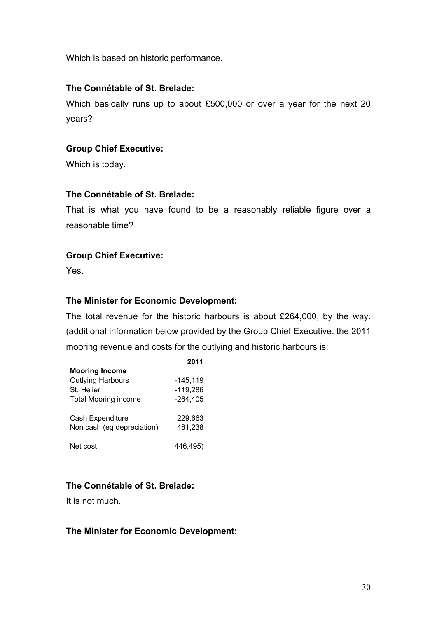Which is based on historic performance.

## **The Connétable of St. Brelade:**

Which basically runs up to about £500,000 or over a year for the next 20 years?

## **Group Chief Executive:**

Which is today.

## **The Connétable of St. Brelade:**

That is what you have found to be a reasonably reliable figure over a reasonable time?

## **Group Chief Executive:**

Yes.

## **The Minister for Economic Development:**

The total revenue for the historic harbours is about £264,000, by the way. (additional information below provided by the Group Chief Executive: the 2011 mooring revenue and costs for the outlying and historic harbours is:

**2011**

|                             | ZUTI       |
|-----------------------------|------------|
| <b>Mooring Income</b>       |            |
| <b>Outlying Harbours</b>    | $-145,119$ |
| St. Helier                  | $-119,286$ |
| <b>Total Mooring income</b> | $-264.405$ |
| Cash Expenditure            | 229,663    |
| Non cash (eg depreciation)  | 481,238    |
| Net cost                    | 446,495)   |

# **The Connétable of St. Brelade:**

It is not much.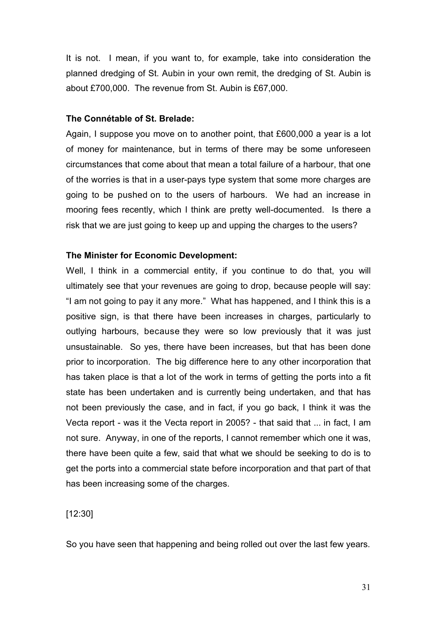It is not. I mean, if you want to, for example, take into consideration the planned dredging of St. Aubin in your own remit, the dredging of St. Aubin is about £700,000. The revenue from St. Aubin is £67,000.

#### **The Connétable of St. Brelade:**

Again, I suppose you move on to another point, that £600,000 a year is a lot of money for maintenance, but in terms of there may be some unforeseen circumstances that come about that mean a total failure of a harbour, that one of the worries is that in a user-pays type system that some more charges are going to be pushed on to the users of harbours. We had an increase in mooring fees recently, which I think are pretty well-documented. Is there a risk that we are just going to keep up and upping the charges to the users?

#### **The Minister for Economic Development:**

Well, I think in a commercial entity, if you continue to do that, you will ultimately see that your revenues are going to drop, because people will say: "I am not going to pay it any more." What has happened, and I think this is a positive sign, is that there have been increases in charges, particularly to outlying harbours, because they were so low previously that it was just unsustainable. So yes, there have been increases, but that has been done prior to incorporation. The big difference here to any other incorporation that has taken place is that a lot of the work in terms of getting the ports into a fit state has been undertaken and is currently being undertaken, and that has not been previously the case, and in fact, if you go back, I think it was the Vecta report - was it the Vecta report in 2005? - that said that ... in fact, I am not sure. Anyway, in one of the reports, I cannot remember which one it was, there have been quite a few, said that what we should be seeking to do is to get the ports into a commercial state before incorporation and that part of that has been increasing some of the charges.

[12:30]

So you have seen that happening and being rolled out over the last few years.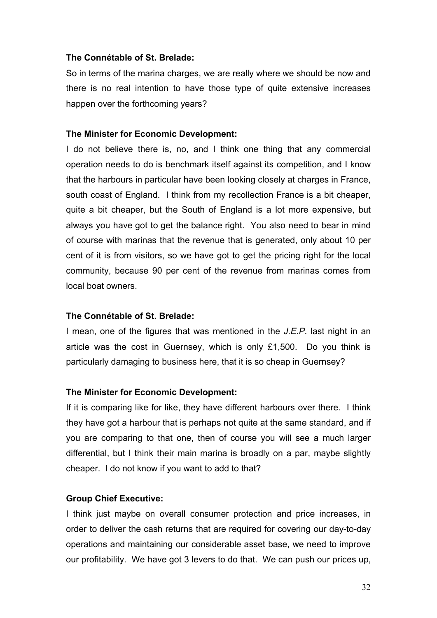## **The Connétable of St. Brelade:**

So in terms of the marina charges, we are really where we should be now and there is no real intention to have those type of quite extensive increases happen over the forthcoming years?

#### **The Minister for Economic Development:**

I do not believe there is, no, and I think one thing that any commercial operation needs to do is benchmark itself against its competition, and I know that the harbours in particular have been looking closely at charges in France, south coast of England. I think from my recollection France is a bit cheaper, quite a bit cheaper, but the South of England is a lot more expensive, but always you have got to get the balance right. You also need to bear in mind of course with marinas that the revenue that is generated, only about 10 per cent of it is from visitors, so we have got to get the pricing right for the local community, because 90 per cent of the revenue from marinas comes from local boat owners.

## **The Connétable of St. Brelade:**

I mean, one of the figures that was mentioned in the *J.E.P.* last night in an article was the cost in Guernsey, which is only £1,500. Do you think is particularly damaging to business here, that it is so cheap in Guernsey?

#### **The Minister for Economic Development:**

If it is comparing like for like, they have different harbours over there. I think they have got a harbour that is perhaps not quite at the same standard, and if you are comparing to that one, then of course you will see a much larger differential, but I think their main marina is broadly on a par, maybe slightly cheaper. I do not know if you want to add to that?

## **Group Chief Executive:**

I think just maybe on overall consumer protection and price increases, in order to deliver the cash returns that are required for covering our day-to-day operations and maintaining our considerable asset base, we need to improve our profitability. We have got 3 levers to do that. We can push our prices up,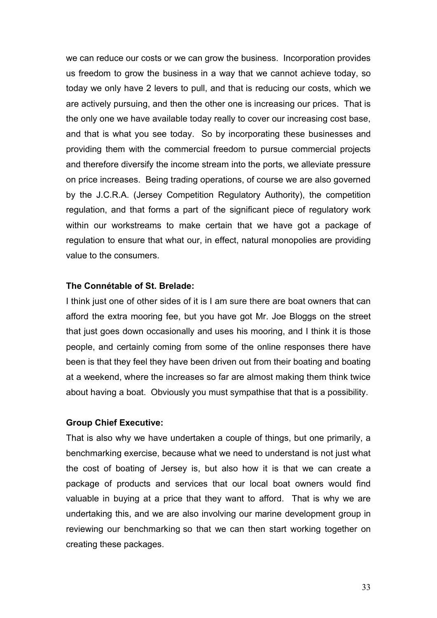we can reduce our costs or we can grow the business. Incorporation provides us freedom to grow the business in a way that we cannot achieve today, so today we only have 2 levers to pull, and that is reducing our costs, which we are actively pursuing, and then the other one is increasing our prices. That is the only one we have available today really to cover our increasing cost base, and that is what you see today. So by incorporating these businesses and providing them with the commercial freedom to pursue commercial projects and therefore diversify the income stream into the ports, we alleviate pressure on price increases. Being trading operations, of course we are also governed by the J.C.R.A. (Jersey Competition Regulatory Authority), the competition regulation, and that forms a part of the significant piece of regulatory work within our workstreams to make certain that we have got a package of regulation to ensure that what our, in effect, natural monopolies are providing value to the consumers.

#### **The Connétable of St. Brelade:**

I think just one of other sides of it is I am sure there are boat owners that can afford the extra mooring fee, but you have got Mr. Joe Bloggs on the street that just goes down occasionally and uses his mooring, and I think it is those people, and certainly coming from some of the online responses there have been is that they feel they have been driven out from their boating and boating at a weekend, where the increases so far are almost making them think twice about having a boat. Obviously you must sympathise that that is a possibility.

## **Group Chief Executive:**

That is also why we have undertaken a couple of things, but one primarily, a benchmarking exercise, because what we need to understand is not just what the cost of boating of Jersey is, but also how it is that we can create a package of products and services that our local boat owners would find valuable in buying at a price that they want to afford. That is why we are undertaking this, and we are also involving our marine development group in reviewing our benchmarking so that we can then start working together on creating these packages.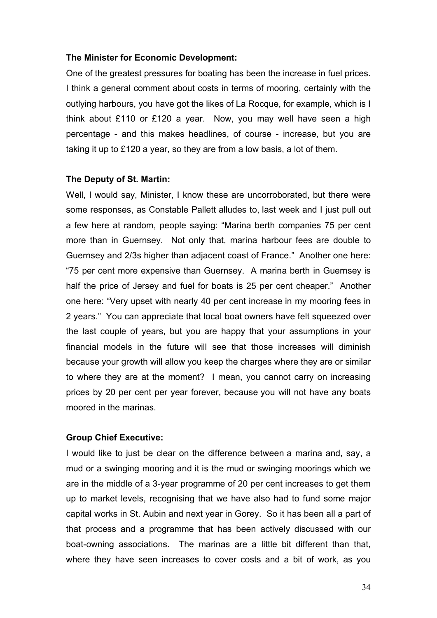#### **The Minister for Economic Development:**

One of the greatest pressures for boating has been the increase in fuel prices. I think a general comment about costs in terms of mooring, certainly with the outlying harbours, you have got the likes of La Rocque, for example, which is I think about £110 or £120 a year. Now, you may well have seen a high percentage - and this makes headlines, of course - increase, but you are taking it up to £120 a year, so they are from a low basis, a lot of them.

#### **The Deputy of St. Martin:**

Well, I would say, Minister, I know these are uncorroborated, but there were some responses, as Constable Pallett alludes to, last week and I just pull out a few here at random, people saying: "Marina berth companies 75 per cent more than in Guernsey. Not only that, marina harbour fees are double to Guernsey and 2/3s higher than adjacent coast of France." Another one here: "75 per cent more expensive than Guernsey. A marina berth in Guernsey is half the price of Jersey and fuel for boats is 25 per cent cheaper." Another one here: "Very upset with nearly 40 per cent increase in my mooring fees in 2 years." You can appreciate that local boat owners have felt squeezed over the last couple of years, but you are happy that your assumptions in your financial models in the future will see that those increases will diminish because your growth will allow you keep the charges where they are or similar to where they are at the moment? I mean, you cannot carry on increasing prices by 20 per cent per year forever, because you will not have any boats moored in the marinas.

## **Group Chief Executive:**

I would like to just be clear on the difference between a marina and, say, a mud or a swinging mooring and it is the mud or swinging moorings which we are in the middle of a 3-year programme of 20 per cent increases to get them up to market levels, recognising that we have also had to fund some major capital works in St. Aubin and next year in Gorey. So it has been all a part of that process and a programme that has been actively discussed with our boat-owning associations. The marinas are a little bit different than that, where they have seen increases to cover costs and a bit of work, as you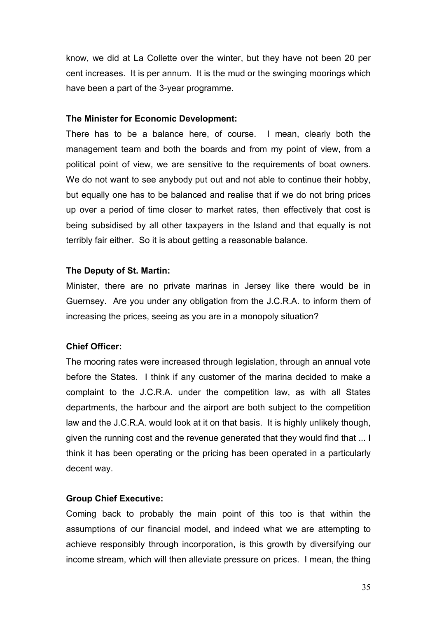know, we did at La Collette over the winter, but they have not been 20 per cent increases. It is per annum. It is the mud or the swinging moorings which have been a part of the 3-year programme.

## **The Minister for Economic Development:**

There has to be a balance here, of course. I mean, clearly both the management team and both the boards and from my point of view, from a political point of view, we are sensitive to the requirements of boat owners. We do not want to see anybody put out and not able to continue their hobby, but equally one has to be balanced and realise that if we do not bring prices up over a period of time closer to market rates, then effectively that cost is being subsidised by all other taxpayers in the Island and that equally is not terribly fair either. So it is about getting a reasonable balance.

#### **The Deputy of St. Martin:**

Minister, there are no private marinas in Jersey like there would be in Guernsey. Are you under any obligation from the J.C.R.A. to inform them of increasing the prices, seeing as you are in a monopoly situation?

## **Chief Officer:**

The mooring rates were increased through legislation, through an annual vote before the States. I think if any customer of the marina decided to make a complaint to the J.C.R.A. under the competition law, as with all States departments, the harbour and the airport are both subject to the competition law and the J.C.R.A. would look at it on that basis. It is highly unlikely though, given the running cost and the revenue generated that they would find that ... I think it has been operating or the pricing has been operated in a particularly decent way.

## **Group Chief Executive:**

Coming back to probably the main point of this too is that within the assumptions of our financial model, and indeed what we are attempting to achieve responsibly through incorporation, is this growth by diversifying our income stream, which will then alleviate pressure on prices. I mean, the thing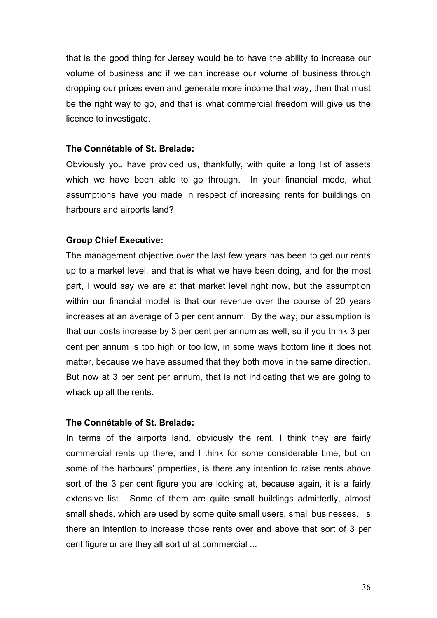that is the good thing for Jersey would be to have the ability to increase our volume of business and if we can increase our volume of business through dropping our prices even and generate more income that way, then that must be the right way to go, and that is what commercial freedom will give us the licence to investigate.

#### **The Connétable of St. Brelade:**

Obviously you have provided us, thankfully, with quite a long list of assets which we have been able to go through. In your financial mode, what assumptions have you made in respect of increasing rents for buildings on harbours and airports land?

#### **Group Chief Executive:**

The management objective over the last few years has been to get our rents up to a market level, and that is what we have been doing, and for the most part, I would say we are at that market level right now, but the assumption within our financial model is that our revenue over the course of 20 years increases at an average of 3 per cent annum. By the way, our assumption is that our costs increase by 3 per cent per annum as well, so if you think 3 per cent per annum is too high or too low, in some ways bottom line it does not matter, because we have assumed that they both move in the same direction. But now at 3 per cent per annum, that is not indicating that we are going to whack up all the rents.

#### **The Connétable of St. Brelade:**

In terms of the airports land, obviously the rent, I think they are fairly commercial rents up there, and I think for some considerable time, but on some of the harbours' properties, is there any intention to raise rents above sort of the 3 per cent figure you are looking at, because again, it is a fairly extensive list. Some of them are quite small buildings admittedly, almost small sheds, which are used by some quite small users, small businesses. Is there an intention to increase those rents over and above that sort of 3 per cent figure or are they all sort of at commercial ...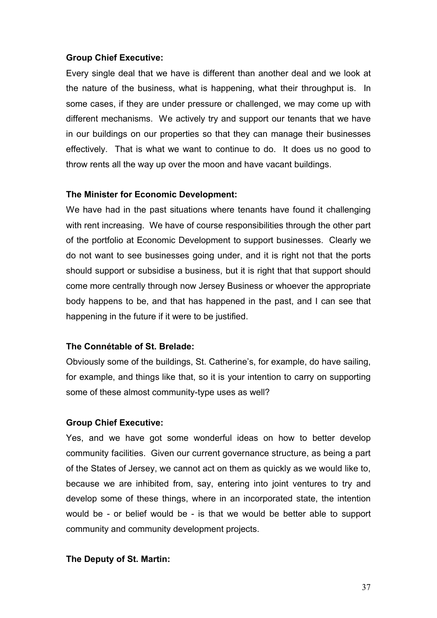## **Group Chief Executive:**

Every single deal that we have is different than another deal and we look at the nature of the business, what is happening, what their throughput is. In some cases, if they are under pressure or challenged, we may come up with different mechanisms. We actively try and support our tenants that we have in our buildings on our properties so that they can manage their businesses effectively. That is what we want to continue to do. It does us no good to throw rents all the way up over the moon and have vacant buildings.

#### **The Minister for Economic Development:**

We have had in the past situations where tenants have found it challenging with rent increasing. We have of course responsibilities through the other part of the portfolio at Economic Development to support businesses. Clearly we do not want to see businesses going under, and it is right not that the ports should support or subsidise a business, but it is right that that support should come more centrally through now Jersey Business or whoever the appropriate body happens to be, and that has happened in the past, and I can see that happening in the future if it were to be justified.

#### **The Connétable of St. Brelade:**

Obviously some of the buildings, St. Catherine's, for example, do have sailing, for example, and things like that, so it is your intention to carry on supporting some of these almost community-type uses as well?

## **Group Chief Executive:**

Yes, and we have got some wonderful ideas on how to better develop community facilities. Given our current governance structure, as being a part of the States of Jersey, we cannot act on them as quickly as we would like to, because we are inhibited from, say, entering into joint ventures to try and develop some of these things, where in an incorporated state, the intention would be - or belief would be - is that we would be better able to support community and community development projects.

## **The Deputy of St. Martin:**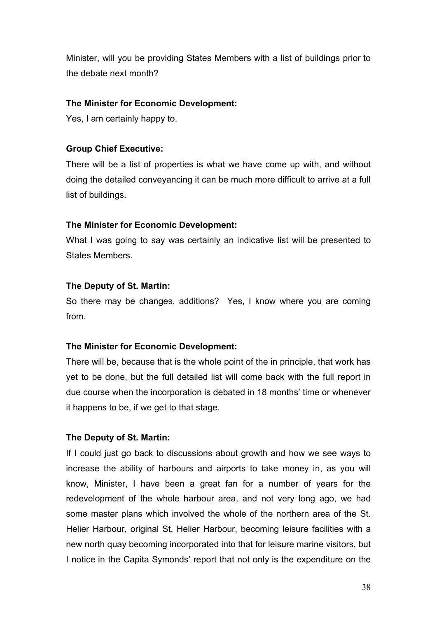Minister, will you be providing States Members with a list of buildings prior to the debate next month?

# **The Minister for Economic Development:**

Yes, I am certainly happy to.

# **Group Chief Executive:**

There will be a list of properties is what we have come up with, and without doing the detailed conveyancing it can be much more difficult to arrive at a full list of buildings.

# **The Minister for Economic Development:**

What I was going to say was certainly an indicative list will be presented to States Members.

# **The Deputy of St. Martin:**

So there may be changes, additions? Yes, I know where you are coming from.

# **The Minister for Economic Development:**

There will be, because that is the whole point of the in principle, that work has yet to be done, but the full detailed list will come back with the full report in due course when the incorporation is debated in 18 months' time or whenever it happens to be, if we get to that stage.

# **The Deputy of St. Martin:**

If I could just go back to discussions about growth and how we see ways to increase the ability of harbours and airports to take money in, as you will know, Minister, I have been a great fan for a number of years for the redevelopment of the whole harbour area, and not very long ago, we had some master plans which involved the whole of the northern area of the St. Helier Harbour, original St. Helier Harbour, becoming leisure facilities with a new north quay becoming incorporated into that for leisure marine visitors, but I notice in the Capita Symonds' report that not only is the expenditure on the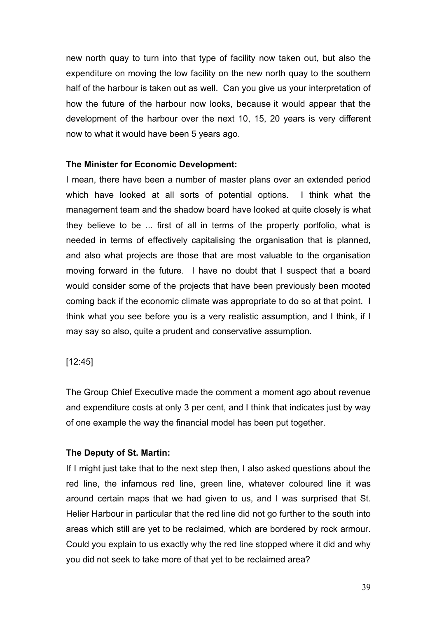new north quay to turn into that type of facility now taken out, but also the expenditure on moving the low facility on the new north quay to the southern half of the harbour is taken out as well. Can you give us your interpretation of how the future of the harbour now looks, because it would appear that the development of the harbour over the next 10, 15, 20 years is very different now to what it would have been 5 years ago.

## **The Minister for Economic Development:**

I mean, there have been a number of master plans over an extended period which have looked at all sorts of potential options. I think what the management team and the shadow board have looked at quite closely is what they believe to be ... first of all in terms of the property portfolio, what is needed in terms of effectively capitalising the organisation that is planned, and also what projects are those that are most valuable to the organisation moving forward in the future. I have no doubt that I suspect that a board would consider some of the projects that have been previously been mooted coming back if the economic climate was appropriate to do so at that point. I think what you see before you is a very realistic assumption, and I think, if I may say so also, quite a prudent and conservative assumption.

## [12:45]

The Group Chief Executive made the comment a moment ago about revenue and expenditure costs at only 3 per cent, and I think that indicates just by way of one example the way the financial model has been put together.

# **The Deputy of St. Martin:**

If I might just take that to the next step then, I also asked questions about the red line, the infamous red line, green line, whatever coloured line it was around certain maps that we had given to us, and I was surprised that St. Helier Harbour in particular that the red line did not go further to the south into areas which still are yet to be reclaimed, which are bordered by rock armour. Could you explain to us exactly why the red line stopped where it did and why you did not seek to take more of that yet to be reclaimed area?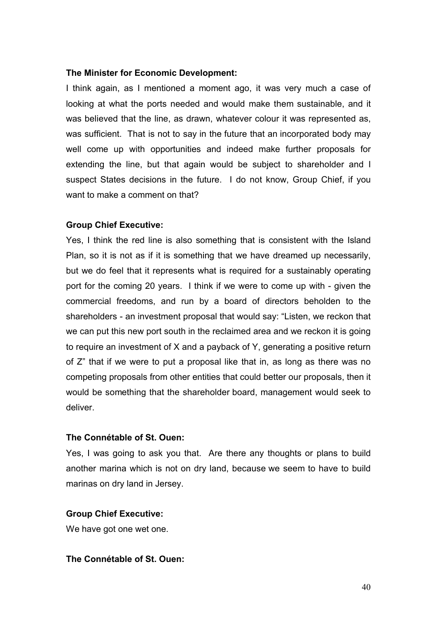#### **The Minister for Economic Development:**

I think again, as I mentioned a moment ago, it was very much a case of looking at what the ports needed and would make them sustainable, and it was believed that the line, as drawn, whatever colour it was represented as, was sufficient. That is not to say in the future that an incorporated body may well come up with opportunities and indeed make further proposals for extending the line, but that again would be subject to shareholder and I suspect States decisions in the future. I do not know, Group Chief, if you want to make a comment on that?

#### **Group Chief Executive:**

Yes, I think the red line is also something that is consistent with the Island Plan, so it is not as if it is something that we have dreamed up necessarily, but we do feel that it represents what is required for a sustainably operating port for the coming 20 years. I think if we were to come up with - given the commercial freedoms, and run by a board of directors beholden to the shareholders - an investment proposal that would say: "Listen, we reckon that we can put this new port south in the reclaimed area and we reckon it is going to require an investment of X and a payback of Y, generating a positive return of Z" that if we were to put a proposal like that in, as long as there was no competing proposals from other entities that could better our proposals, then it would be something that the shareholder board, management would seek to deliver.

#### **The Connétable of St. Ouen:**

Yes, I was going to ask you that. Are there any thoughts or plans to build another marina which is not on dry land, because we seem to have to build marinas on dry land in Jersey.

#### **Group Chief Executive:**

We have got one wet one.

## **The Connétable of St. Ouen:**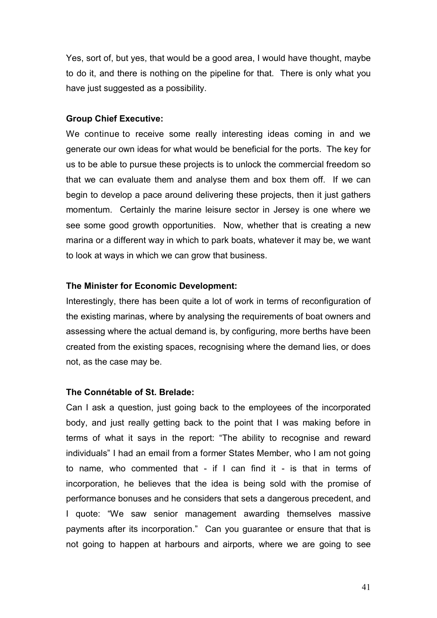Yes, sort of, but yes, that would be a good area, I would have thought, maybe to do it, and there is nothing on the pipeline for that. There is only what you have just suggested as a possibility.

## **Group Chief Executive:**

We continue to receive some really interesting ideas coming in and we generate our own ideas for what would be beneficial for the ports. The key for us to be able to pursue these projects is to unlock the commercial freedom so that we can evaluate them and analyse them and box them off. If we can begin to develop a pace around delivering these projects, then it just gathers momentum. Certainly the marine leisure sector in Jersey is one where we see some good growth opportunities. Now, whether that is creating a new marina or a different way in which to park boats, whatever it may be, we want to look at ways in which we can grow that business.

## **The Minister for Economic Development:**

Interestingly, there has been quite a lot of work in terms of reconfiguration of the existing marinas, where by analysing the requirements of boat owners and assessing where the actual demand is, by configuring, more berths have been created from the existing spaces, recognising where the demand lies, or does not, as the case may be.

## **The Connétable of St. Brelade:**

Can I ask a question, just going back to the employees of the incorporated body, and just really getting back to the point that I was making before in terms of what it says in the report: "The ability to recognise and reward individuals" I had an email from a former States Member, who I am not going to name, who commented that - if I can find it - is that in terms of incorporation, he believes that the idea is being sold with the promise of performance bonuses and he considers that sets a dangerous precedent, and I quote: "We saw senior management awarding themselves massive payments after its incorporation." Can you guarantee or ensure that that is not going to happen at harbours and airports, where we are going to see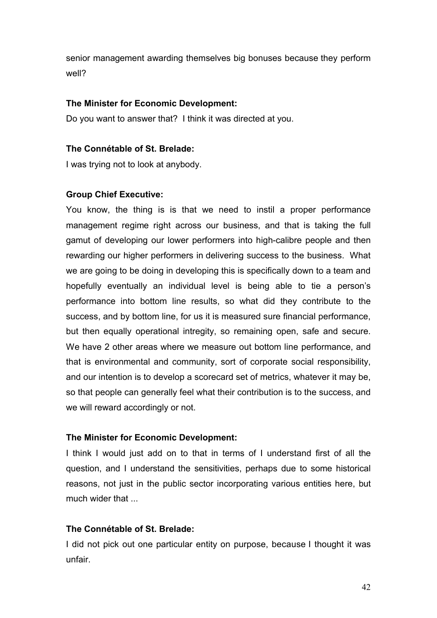senior management awarding themselves big bonuses because they perform well?

## **The Minister for Economic Development:**

Do you want to answer that? I think it was directed at you.

## **The Connétable of St. Brelade:**

I was trying not to look at anybody.

## **Group Chief Executive:**

You know, the thing is is that we need to instil a proper performance management regime right across our business, and that is taking the full gamut of developing our lower performers into high-calibre people and then rewarding our higher performers in delivering success to the business. What we are going to be doing in developing this is specifically down to a team and hopefully eventually an individual level is being able to tie a person's performance into bottom line results, so what did they contribute to the success, and by bottom line, for us it is measured sure financial performance, but then equally operational intregity, so remaining open, safe and secure. We have 2 other areas where we measure out bottom line performance, and that is environmental and community, sort of corporate social responsibility, and our intention is to develop a scorecard set of metrics, whatever it may be, so that people can generally feel what their contribution is to the success, and we will reward accordingly or not.

# **The Minister for Economic Development:**

I think I would just add on to that in terms of I understand first of all the question, and I understand the sensitivities, perhaps due to some historical reasons, not just in the public sector incorporating various entities here, but much wider that ...

# **The Connétable of St. Brelade:**

I did not pick out one particular entity on purpose, because I thought it was unfair.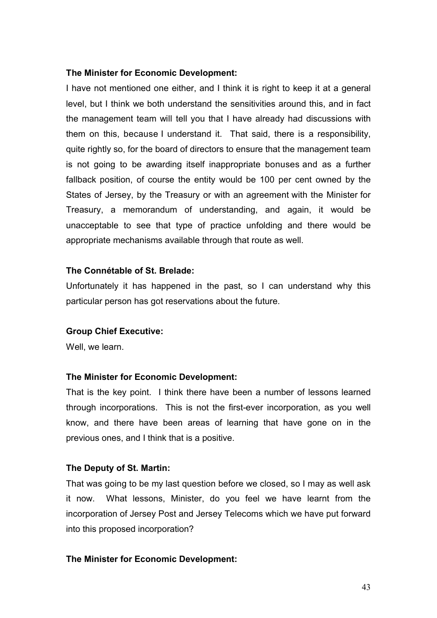## **The Minister for Economic Development:**

I have not mentioned one either, and I think it is right to keep it at a general level, but I think we both understand the sensitivities around this, and in fact the management team will tell you that I have already had discussions with them on this, because I understand it. That said, there is a responsibility, quite rightly so, for the board of directors to ensure that the management team is not going to be awarding itself inappropriate bonuses and as a further fallback position, of course the entity would be 100 per cent owned by the States of Jersey, by the Treasury or with an agreement with the Minister for Treasury, a memorandum of understanding, and again, it would be unacceptable to see that type of practice unfolding and there would be appropriate mechanisms available through that route as well.

## **The Connétable of St. Brelade:**

Unfortunately it has happened in the past, so I can understand why this particular person has got reservations about the future.

## **Group Chief Executive:**

Well, we learn.

## **The Minister for Economic Development:**

That is the key point. I think there have been a number of lessons learned through incorporations. This is not the first-ever incorporation, as you well know, and there have been areas of learning that have gone on in the previous ones, and I think that is a positive.

## **The Deputy of St. Martin:**

That was going to be my last question before we closed, so I may as well ask it now. What lessons, Minister, do you feel we have learnt from the incorporation of Jersey Post and Jersey Telecoms which we have put forward into this proposed incorporation?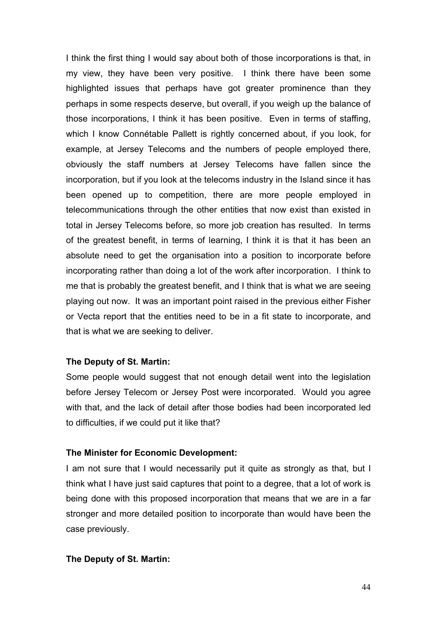I think the first thing I would say about both of those incorporations is that, in my view, they have been very positive. I think there have been some highlighted issues that perhaps have got greater prominence than they perhaps in some respects deserve, but overall, if you weigh up the balance of those incorporations, I think it has been positive. Even in terms of staffing, which I know Connétable Pallett is rightly concerned about, if you look, for example, at Jersey Telecoms and the numbers of people employed there, obviously the staff numbers at Jersey Telecoms have fallen since the incorporation, but if you look at the telecoms industry in the Island since it has been opened up to competition, there are more people employed in telecommunications through the other entities that now exist than existed in total in Jersey Telecoms before, so more job creation has resulted. In terms of the greatest benefit, in terms of learning, I think it is that it has been an absolute need to get the organisation into a position to incorporate before incorporating rather than doing a lot of the work after incorporation. I think to me that is probably the greatest benefit, and I think that is what we are seeing playing out now. It was an important point raised in the previous either Fisher or Vecta report that the entities need to be in a fit state to incorporate, and that is what we are seeking to deliver.

## **The Deputy of St. Martin:**

Some people would suggest that not enough detail went into the legislation before Jersey Telecom or Jersey Post were incorporated. Would you agree with that, and the lack of detail after those bodies had been incorporated led to difficulties, if we could put it like that?

## **The Minister for Economic Development:**

I am not sure that I would necessarily put it quite as strongly as that, but I think what I have just said captures that point to a degree, that a lot of work is being done with this proposed incorporation that means that we are in a far stronger and more detailed position to incorporate than would have been the case previously.

#### **The Deputy of St. Martin:**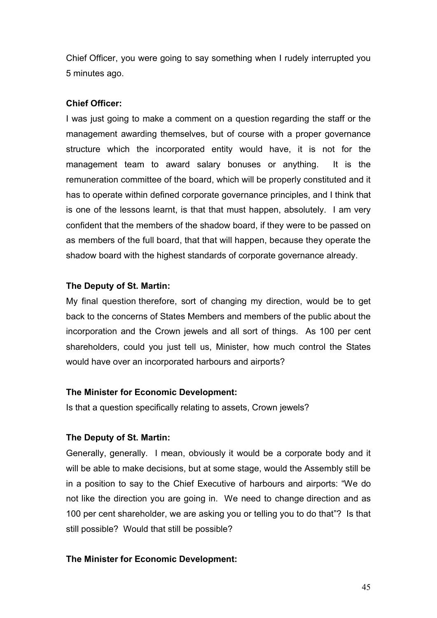Chief Officer, you were going to say something when I rudely interrupted you 5 minutes ago.

# **Chief Officer:**

I was just going to make a comment on a question regarding the staff or the management awarding themselves, but of course with a proper governance structure which the incorporated entity would have, it is not for the management team to award salary bonuses or anything. It is the remuneration committee of the board, which will be properly constituted and it has to operate within defined corporate governance principles, and I think that is one of the lessons learnt, is that that must happen, absolutely. I am very confident that the members of the shadow board, if they were to be passed on as members of the full board, that that will happen, because they operate the shadow board with the highest standards of corporate governance already.

# **The Deputy of St. Martin:**

My final question therefore, sort of changing my direction, would be to get back to the concerns of States Members and members of the public about the incorporation and the Crown jewels and all sort of things. As 100 per cent shareholders, could you just tell us, Minister, how much control the States would have over an incorporated harbours and airports?

# **The Minister for Economic Development:**

Is that a question specifically relating to assets, Crown jewels?

# **The Deputy of St. Martin:**

Generally, generally. I mean, obviously it would be a corporate body and it will be able to make decisions, but at some stage, would the Assembly still be in a position to say to the Chief Executive of harbours and airports: "We do not like the direction you are going in. We need to change direction and as 100 per cent shareholder, we are asking you or telling you to do that"? Is that still possible? Would that still be possible?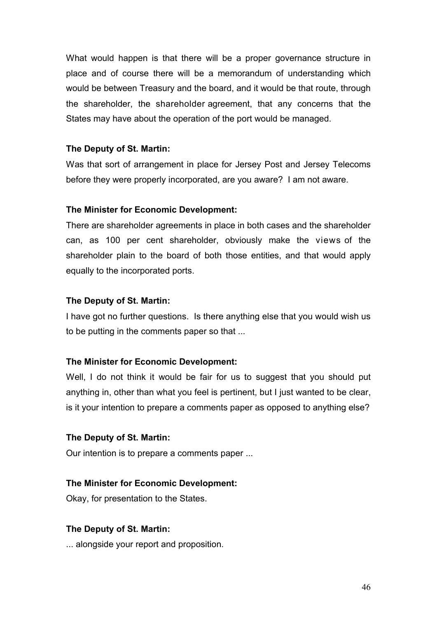What would happen is that there will be a proper governance structure in place and of course there will be a memorandum of understanding which would be between Treasury and the board, and it would be that route, through the shareholder, the shareholder agreement, that any concerns that the States may have about the operation of the port would be managed.

## **The Deputy of St. Martin:**

Was that sort of arrangement in place for Jersey Post and Jersey Telecoms before they were properly incorporated, are you aware? I am not aware.

## **The Minister for Economic Development:**

There are shareholder agreements in place in both cases and the shareholder can, as 100 per cent shareholder, obviously make the views of the shareholder plain to the board of both those entities, and that would apply equally to the incorporated ports.

## **The Deputy of St. Martin:**

I have got no further questions. Is there anything else that you would wish us to be putting in the comments paper so that ...

## **The Minister for Economic Development:**

Well, I do not think it would be fair for us to suggest that you should put anything in, other than what you feel is pertinent, but I just wanted to be clear, is it your intention to prepare a comments paper as opposed to anything else?

# **The Deputy of St. Martin:**

Our intention is to prepare a comments paper ...

# **The Minister for Economic Development:**

Okay, for presentation to the States.

# **The Deputy of St. Martin:**

... alongside your report and proposition.